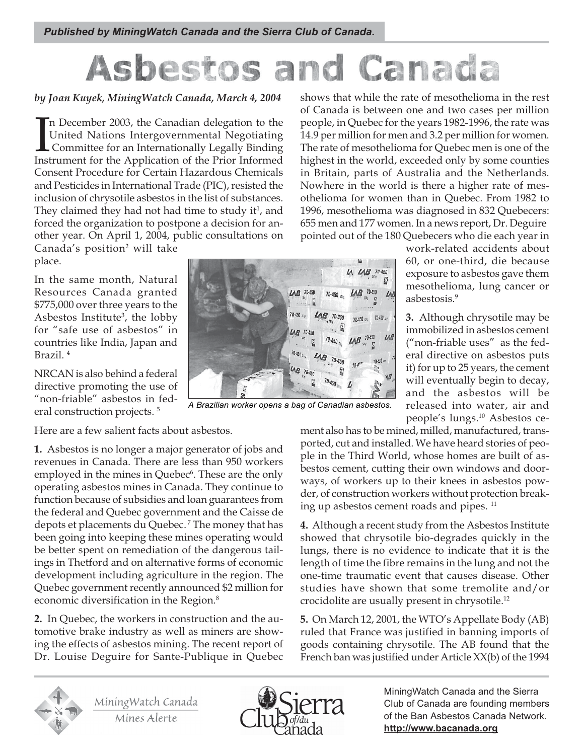## Canada Asbestos and

## by Joan Kuyek, MiningWatch Canada, March 4, 2004

 $\prod_{\text{Inst}}$ n December 2003, the Canadian delegation to the United Nations Intergovernmental Negotiating Committee for an Internationally Legally Binding Instrument for the Application of the Prior Informed Consent Procedure for Certain Hazardous Chemicals and Pesticides in International Trade (PIC), resisted the inclusion of chrysotile asbestos in the list of substances. They claimed they had not had time to study it<sup>1</sup>, and forced the organization to postpone a decision for another year. On April 1, 2004, public consultations on Canada's position<sup>2</sup> will take place.

In the same month, Natural Resources Canada granted \$775,000 over three years to the Asbestos Institute<sup>3</sup>, the lobby for "safe use of asbestos" in countries like India, Japan and Brazil. 4

NRCAN is also behind a federal directive promoting the use of "non-friable" asbestos in federal construction projects.<sup>5</sup>

Here are a few salient facts about asbestos.

1. Asbestos is no longer a major generator of jobs and revenues in Canada. There are less than 950 workers employed in the mines in Quebec<sup>6</sup>. These are the only operating asbestos mines in Canada. They continue to function because of subsidies and loan guarantees from the federal and Quebec government and the Caisse de depots et placements du Quebec. 7 The money that has been going into keeping these mines operating would be better spent on remediation of the dangerous tailings in Thetford and on alternative forms of economic development including agriculture in the region. The Quebec government recently announced \$2 million for economic diversification in the Region.<sup>8</sup>

2. In Quebec, the workers in construction and the automotive brake industry as well as miners are showing the effects of asbestos mining. The recent report of Dr. Louise Deguire for Sante-Publique in Quebec

shows that while the rate of mesothelioma in the rest of Canada is between one and two cases per million people, in Quebec for the years 1982-1996, the rate was 14.9 per million for men and 3.2 per million for women. The rate of mesothelioma for Quebec men is one of the highest in the world, exceeded only by some counties in Britain, parts of Australia and the Netherlands. Nowhere in the world is there a higher rate of mesothelioma for women than in Quebec. From 1982 to 1996, mesothelioma was diagnosed in 832 Quebecers: 655 men and 177 women. In a news report, Dr. Deguire pointed out of the 180 Quebecers who die each year in

> work-related accidents about 60, or one-third, die because exposure to asbestos gave them mesothelioma, lung cancer or asbestosis.9

> 3. Although chrysotile may be immobilized in asbestos cement ("non-friable uses" as the federal directive on asbestos puts it) for up to 25 years, the cement will eventually begin to decay, and the asbestos will be released into water, air and people's lungs.10 Asbestos ce-

ment also has to be mined, milled, manufactured, transported, cut and installed. We have heard stories of people in the Third World, whose homes are built of asbestos cement, cutting their own windows and doorways, of workers up to their knees in asbestos powder, of construction workers without protection breaking up asbestos cement roads and pipes.<sup>11</sup>

4. Although a recent study from the Asbestos Institute showed that chrysotile bio-degrades quickly in the lungs, there is no evidence to indicate that it is the length of time the fibre remains in the lung and not the one-time traumatic event that causes disease. Other studies have shown that some tremolite and/or crocidolite are usually present in chrysotile.12

5. On March 12, 2001, the WTO's Appellate Body (AB) ruled that France was justified in banning imports of goods containing chrysotile. The AB found that the French ban was justified under Article XX(b) of the 1994



MiningWatch Canada Mines Alerte



MiningWatch Canada and the Sierra Club of Canada are founding members of the Ban Asbestos Canada Network. **http://www.bacanada.org**